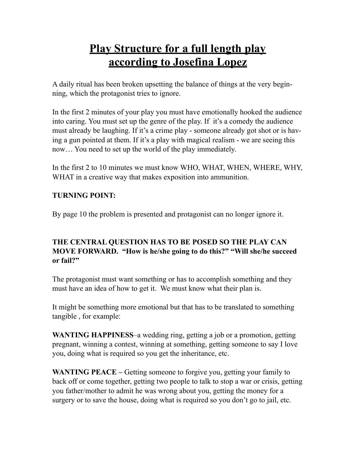# **Play Structure for a full length play according to Josefina Lopez**

A daily ritual has been broken upsetting the balance of things at the very beginning, which the protagonist tries to ignore.

In the first 2 minutes of your play you must have emotionally hooked the audience into caring. You must set up the genre of the play. If it's a comedy the audience must already be laughing. If it's a crime play - someone already got shot or is having a gun pointed at them. If it's a play with magical realism - we are seeing this now… You need to set up the world of the play immediately.

In the first 2 to 10 minutes we must know WHO, WHAT, WHEN, WHERE, WHY, WHAT in a creative way that makes exposition into ammunition.

#### **TURNING POINT:**

By page 10 the problem is presented and protagonist can no longer ignore it.

# **THE CENTRAL QUESTION HAS TO BE POSED SO THE PLAY CAN MOVE FORWARD. "How is he/she going to do this?" "Will she/he succeed or fail?"**

The protagonist must want something or has to accomplish something and they must have an idea of how to get it. We must know what their plan is.

It might be something more emotional but that has to be translated to something tangible , for example:

**WANTING HAPPINESS**–a wedding ring, getting a job or a promotion, getting pregnant, winning a contest, winning at something, getting someone to say I love you, doing what is required so you get the inheritance, etc.

**WANTING PEACE** – Getting someone to forgive you, getting your family to back off or come together, getting two people to talk to stop a war or crisis, getting you father/mother to admit he was wrong about you, getting the money for a surgery or to save the house, doing what is required so you don't go to jail, etc.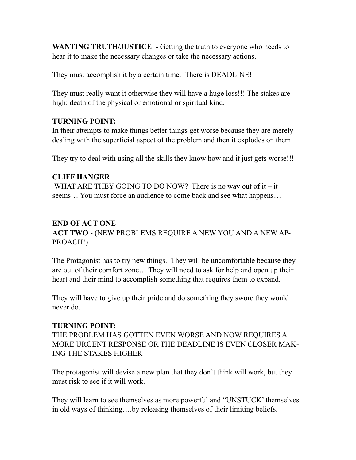**WANTING TRUTH/JUSTICE** - Getting the truth to everyone who needs to hear it to make the necessary changes or take the necessary actions.

They must accomplish it by a certain time. There is DEADLINE!

They must really want it otherwise they will have a huge loss!!! The stakes are high: death of the physical or emotional or spiritual kind.

#### **TURNING POINT:**

In their attempts to make things better things get worse because they are merely dealing with the superficial aspect of the problem and then it explodes on them.

They try to deal with using all the skills they know how and it just gets worse!!!

#### **CLIFF HANGER**

WHAT ARE THEY GOING TO DO NOW? There is no way out of it  $-$  it seems… You must force an audience to come back and see what happens…

# **END OF ACT ONE**

**ACT TWO** - (NEW PROBLEMS REQUIRE A NEW YOU AND A NEW AP-PROACH!)

The Protagonist has to try new things. They will be uncomfortable because they are out of their comfort zone… They will need to ask for help and open up their heart and their mind to accomplish something that requires them to expand.

They will have to give up their pride and do something they swore they would never do.

#### **TURNING POINT:**

THE PROBLEM HAS GOTTEN EVEN WORSE AND NOW REQUIRES A MORE URGENT RESPONSE OR THE DEADLINE IS EVEN CLOSER MAK-ING THE STAKES HIGHER

The protagonist will devise a new plan that they don't think will work, but they must risk to see if it will work.

They will learn to see themselves as more powerful and "UNSTUCK' themselves in old ways of thinking….by releasing themselves of their limiting beliefs.